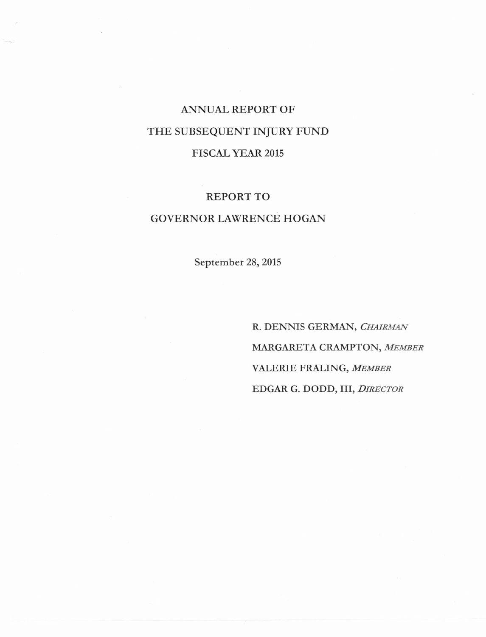# ANNUAL REPORT OF THE SUBSEQUENT INJURY FUND FISCAL YEAR 2015

#### REPORT TO

### GOVERNOR LAWRENCE HOGAN

September 28, 2015

R. DENNIS GERMAN, *CHAIRMAN* MARGARETA CRAMPTON, *MEMBER* VALERIE FRALING, *MEMBER* EDGAR G. DODD, III, *DIRECTOR*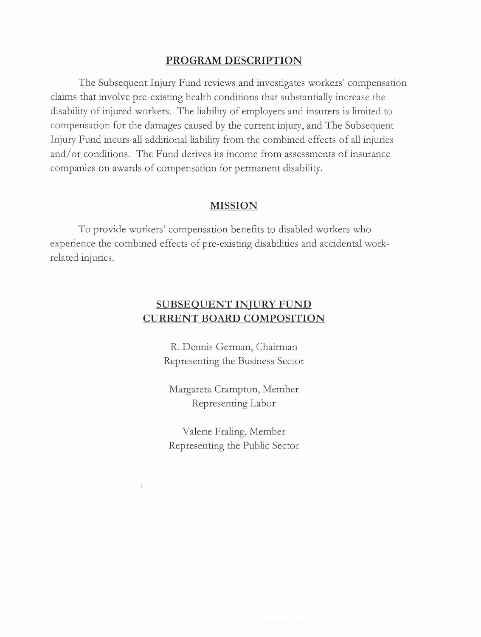#### **PROGRAM DESCRIPTION**

The Subsequent Injury Fund reviews and investigates workers' compensation claims that involve pre-existing health conditions that substantially increase the disability of injured workers. The liability of employers and insurers is limited to compensation for the damages caused by the current injury, and The Subsequent Injury Fund incurs all additional liability from the combined effects of all injuries and/ or conditions. The Fund derives its income from assessments of insurance companies on awards of compensation for permanent disability.

#### **MISSION**

To provide workers' compensation benefits to disabled workers who experience the combined effects of pre-existing disabilities and accidental workrelated injuries.

## **SUBSEQUENT INJURY FUND CURRENT BOARD COMPOSITION**

R. Dennis German, Chairman Representing the Business Sector

Margareta Crampton, Member Representing Labor

Valerie Fraling, Member Representing the Public Sector